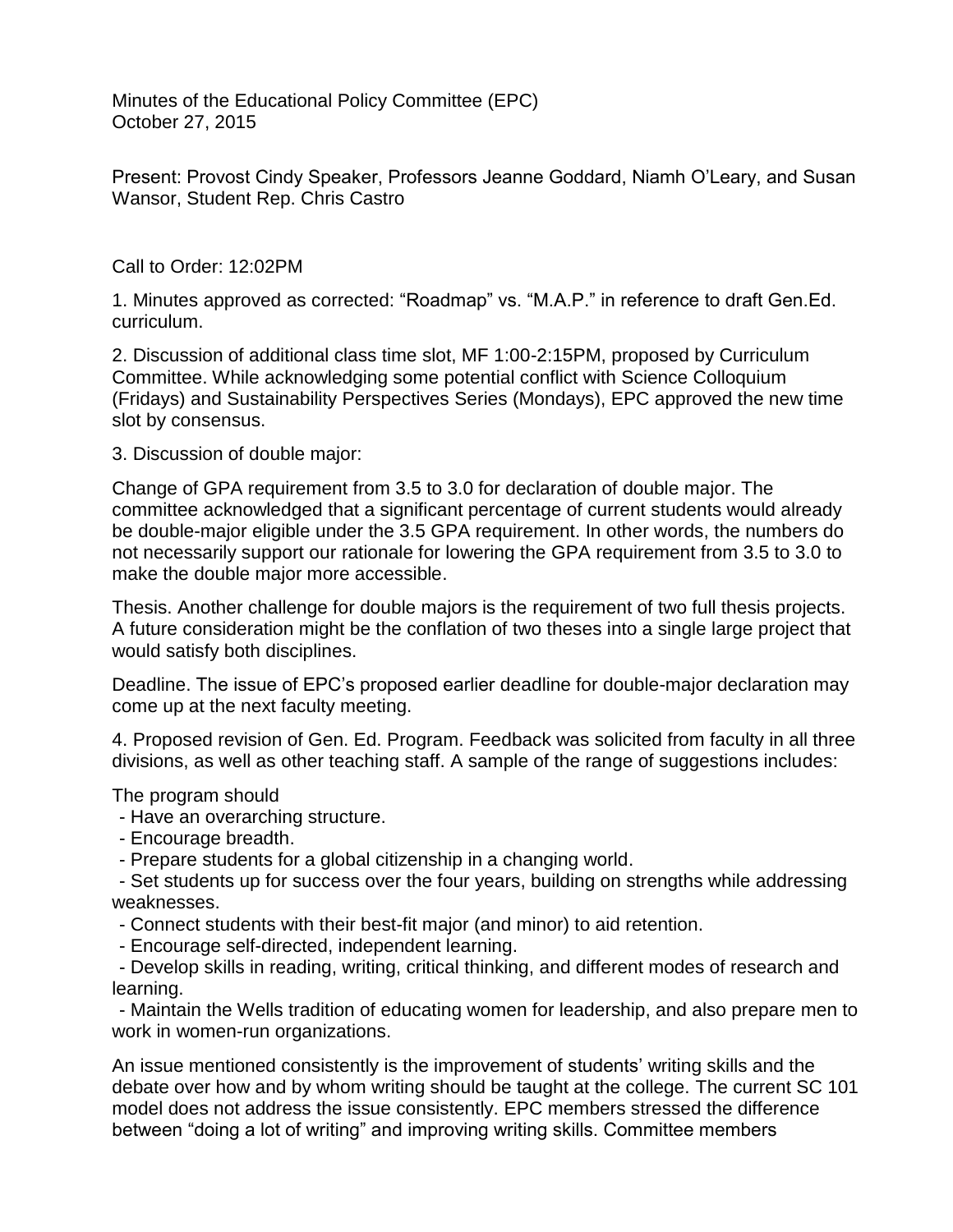Minutes of the Educational Policy Committee (EPC) October 27, 2015

Present: Provost Cindy Speaker, Professors Jeanne Goddard, Niamh O'Leary, and Susan Wansor, Student Rep. Chris Castro

Call to Order: 12:02PM

1. Minutes approved as corrected: "Roadmap" vs. "M.A.P." in reference to draft Gen.Ed. curriculum.

2. Discussion of additional class time slot, MF 1:00-2:15PM, proposed by Curriculum Committee. While acknowledging some potential conflict with Science Colloquium (Fridays) and Sustainability Perspectives Series (Mondays), EPC approved the new time slot by consensus.

3. Discussion of double major:

Change of GPA requirement from 3.5 to 3.0 for declaration of double major. The committee acknowledged that a significant percentage of current students would already be double-major eligible under the 3.5 GPA requirement. In other words, the numbers do not necessarily support our rationale for lowering the GPA requirement from 3.5 to 3.0 to make the double major more accessible.

Thesis. Another challenge for double majors is the requirement of two full thesis projects. A future consideration might be the conflation of two theses into a single large project that would satisfy both disciplines.

Deadline. The issue of EPC's proposed earlier deadline for double-major declaration may come up at the next faculty meeting.

4. Proposed revision of Gen. Ed. Program. Feedback was solicited from faculty in all three divisions, as well as other teaching staff. A sample of the range of suggestions includes:

The program should

- Have an overarching structure.

- Encourage breadth.

- Prepare students for a global citizenship in a changing world.

- Set students up for success over the four years, building on strengths while addressing weaknesses.

- Connect students with their best-fit major (and minor) to aid retention.
- Encourage self-directed, independent learning.

- Develop skills in reading, writing, critical thinking, and different modes of research and learning.

- Maintain the Wells tradition of educating women for leadership, and also prepare men to work in women-run organizations.

An issue mentioned consistently is the improvement of students' writing skills and the debate over how and by whom writing should be taught at the college. The current SC 101 model does not address the issue consistently. EPC members stressed the difference between "doing a lot of writing" and improving writing skills. Committee members